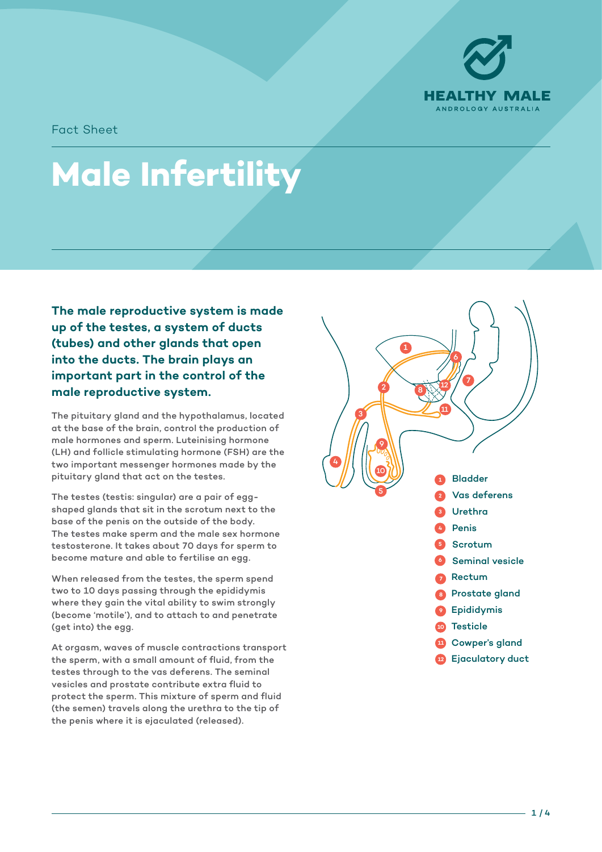

Fact Sheet

# **Male Infertility**

**The male reproductive system is made up of the testes, a system of ducts (tubes) and other glands that open into the ducts. The brain plays an important part in the control of the male reproductive system.**

The pituitary gland and the hypothalamus, located at the base of the brain, control the production of male hormones and sperm. Luteinising hormone (LH) and follicle stimulating hormone (FSH) are the two important messenger hormones made by the pituitary gland that act on the testes.

The testes (testis: singular) are a pair of eggshaped glands that sit in the scrotum next to the base of the penis on the outside of the body. The testes make sperm and the male sex hormone testosterone. It takes about 70 days for sperm to become mature and able to fertilise an egg.

When released from the testes, the sperm spend two to 10 days passing through the epididymis where they gain the vital ability to swim strongly (become 'motile'), and to attach to and penetrate (get into) the egg.

At orgasm, waves of muscle contractions transport the sperm, with a small amount of fluid, from the testes through to the vas deferens. The seminal vesicles and prostate contribute extra fluid to protect the sperm. This mixture of sperm and fluid (the semen) travels along the urethra to the tip of the penis where it is ejaculated (released).



1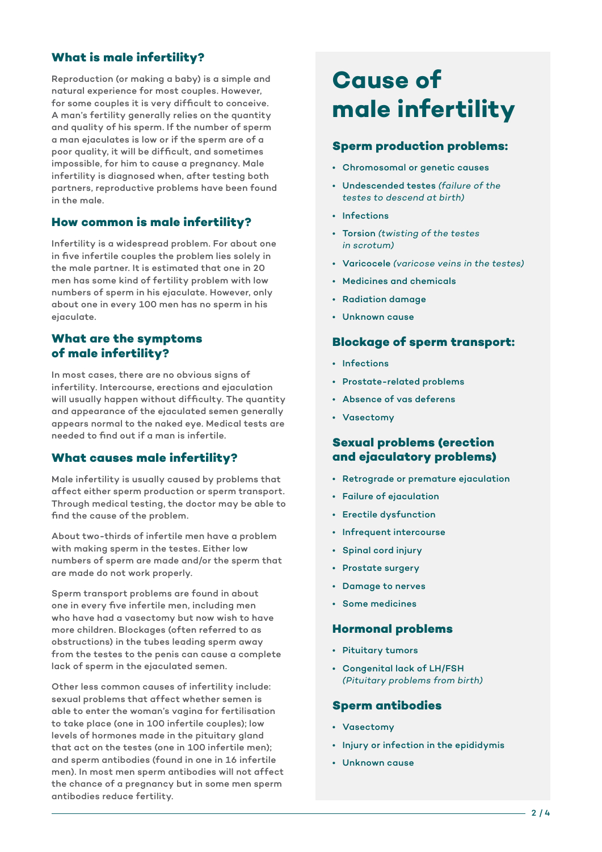# **What is male infertility?**

Reproduction (or making a baby) is a simple and natural experience for most couples. However, for some couples it is very difficult to conceive. A man's fertility generally relies on the quantity and quality of his sperm. If the number of sperm a man ejaculates is low or if the sperm are of a poor quality, it will be difficult, and sometimes impossible, for him to cause a pregnancy. Male infertility is diagnosed when, after testing both partners, reproductive problems have been found in the male.

# **How common is male infertility?**

Infertility is a widespread problem. For about one in five infertile couples the problem lies solely in the male partner. It is estimated that one in 20 men has some kind of fertility problem with low numbers of sperm in his ejaculate. However, only about one in every 100 men has no sperm in his ejaculate.

# **What are the symptoms of male infertility?**

In most cases, there are no obvious signs of infertility. Intercourse, erections and ejaculation will usually happen without difficulty. The quantity and appearance of the ejaculated semen generally appears normal to the naked eye. Medical tests are needed to find out if a man is infertile.

#### **What causes male infertility?**

Male infertility is usually caused by problems that affect either sperm production or sperm transport. Through medical testing, the doctor may be able to find the cause of the problem.

About two-thirds of infertile men have a problem with making sperm in the testes. Either low numbers of sperm are made and/or the sperm that are made do not work properly.

Sperm transport problems are found in about one in every five infertile men, including men who have had a vasectomy but now wish to have more children. Blockages (often referred to as obstructions) in the tubes leading sperm away from the testes to the penis can cause a complete lack of sperm in the ejaculated semen.

Other less common causes of infertility include: sexual problems that affect whether semen is able to enter the woman's vagina for fertilisation to take place (one in 100 infertile couples); low levels of hormones made in the pituitary gland that act on the testes (one in 100 infertile men); and sperm antibodies (found in one in 16 infertile men). In most men sperm antibodies will not affect the chance of a pregnancy but in some men sperm antibodies reduce fertility.

# **Cause of male infertility**

#### **Sperm production problems:**

- Chromosomal or genetic causes
- Undescended testes *(failure of the testes to descend at birth)*
- Infections
- Torsion *(twisting of the testes in scrotum)*
- Varicocele *(varicose veins in the testes)*
- Medicines and chemicals
- Radiation damage
- Unknown cause

## **Blockage of sperm transport:**

- Infections
- Prostate-related problems
- Absence of vas deferens
- Vasectomy

# **Sexual problems (erection and ejaculatory problems)**

- Retrograde or premature ejaculation
- Failure of ejaculation
- Erectile dysfunction
- Infrequent intercourse
- Spinal cord injury
- Prostate surgery
- Damage to nerves
- Some medicines

#### **Hormonal problems**

- Pituitary tumors
- Congenital lack of LH/FSH *(Pituitary problems from birth)*

#### **Sperm antibodies**

- Vasectomy
- Injury or infection in the epididymis
- Unknown cause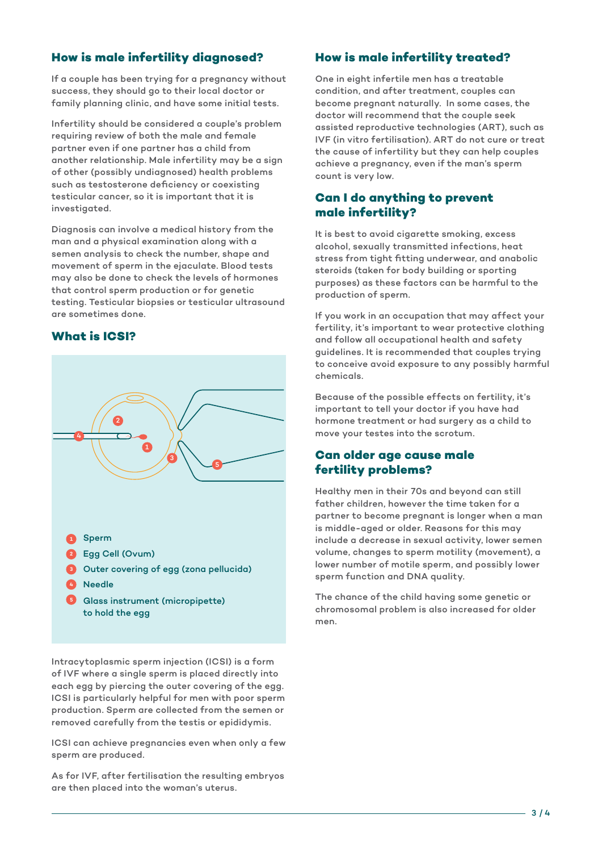# **How is male infertility diagnosed?**

If a couple has been trying for a pregnancy without success, they should go to their local doctor or family planning clinic, and have some initial tests.

Infertility should be considered a couple's problem requiring review of both the male and female partner even if one partner has a child from another relationship. Male infertility may be a sign of other (possibly undiagnosed) health problems such as testosterone deficiency or coexisting testicular cancer, so it is important that it is investigated.

Diagnosis can involve a medical history from the man and a physical examination along with a semen analysis to check the number, shape and movement of sperm in the ejaculate. Blood tests may also be done to check the levels of hormones that control sperm production or for genetic testing. Testicular biopsies or testicular ultrasound are sometimes done.

## **What is ICSI?**



Intracytoplasmic sperm injection (ICSI) is a form of IVF where a single sperm is placed directly into each egg by piercing the outer covering of the egg. ICSI is particularly helpful for men with poor sperm production. Sperm are collected from the semen or removed carefully from the testis or epididymis.

ICSI can achieve pregnancies even when only a few sperm are produced.

As for IVF, after fertilisation the resulting embryos are then placed into the woman's uterus.

# **How is male infertility treated?**

One in eight infertile men has a treatable condition, and after treatment, couples can become pregnant naturally. In some cases, the doctor will recommend that the couple seek assisted reproductive technologies (ART), such as IVF (in vitro fertilisation). ART do not cure or treat the cause of infertility but they can help couples achieve a pregnancy, even if the man's sperm count is very low.

# **Can I do anything to prevent male infertility?**

It is best to avoid cigarette smoking, excess alcohol, sexually transmitted infections, heat stress from tight fitting underwear, and anabolic steroids (taken for body building or sporting purposes) as these factors can be harmful to the production of sperm.

If you work in an occupation that may affect your fertility, it's important to wear protective clothing and follow all occupational health and safety guidelines. It is recommended that couples trying to conceive avoid exposure to any possibly harmful chemicals.

Because of the possible effects on fertility, it's important to tell your doctor if you have had hormone treatment or had surgery as a child to move your testes into the scrotum.

# **Can older age cause male fertility problems?**

Healthy men in their 70s and beyond can still father children, however the time taken for a partner to become pregnant is longer when a man is middle-aged or older. Reasons for this may include a decrease in sexual activity, lower semen volume, changes to sperm motility (movement), a lower number of motile sperm, and possibly lower sperm function and DNA quality.

The chance of the child having some genetic or chromosomal problem is also increased for older men.